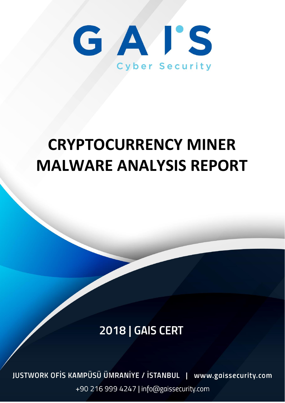

# **CRYPTOCURRENCY MINER MALWARE ANALYSIS REPORT**

## **2018 | GAIS CERT**

JUSTWORK OFIS KAMPÜSÜ ÜMRANIYE / İSTANBUL | www.gaissecurity.com +90 216 999 4247 | info@gaissecurity.com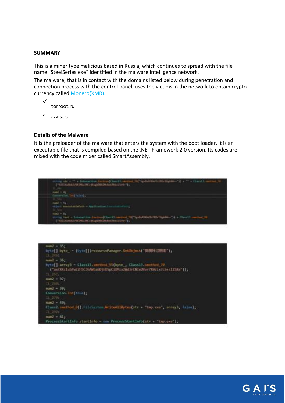#### **SUMMARY**

This is a miner type malicious based in Russia, which continues to spread with the file name "SteelSeries.exe" identified in the malware intelligence network.

The malware, that is in contact with the domains listed below during penetration and connection process with the control panel, uses the victims in the network to obtain cryptocurrency called Monero(XMR).



#### **Details of the Malware**

It is the preloader of the malware that enters the system with the boot loader. It is an executable file that is compiled based on the .NET Framework 2.0 version. Its codes are mixed with the code mixer called SmartAssembly.





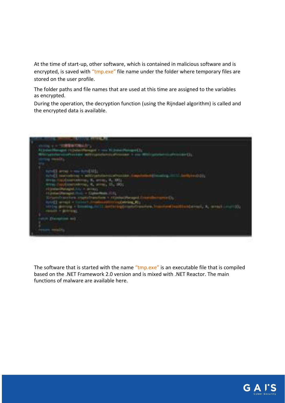At the time of start-up, other software, which is contained in malicious software and is encrypted, is saved with "tmp.exe" file name under the folder where temporary files are stored on the user profile.

The folder paths and file names that are used at this time are assigned to the variables as encrypted.

During the operation, the decryption function (using the Rijndael algorithm) is called and the encrypted data is available.



The software that is started with the name "tmp.exe" is an executable file that is compiled based on the .NET Framework 2.0 version and is mixed with .NET Reactor. The main functions of malware are available here.

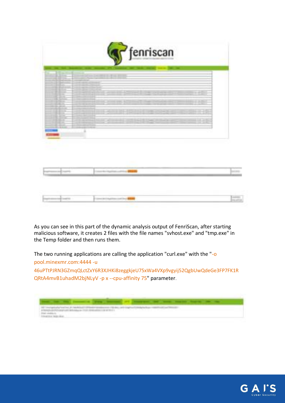

As you can see in this part of the dynamic analysis output of FenriScan, after starting malicious software, it creates 2 files with the file names "svhost.exe" and "tmp.exe" in the Temp folder and then runs them.

The two running applications are calling the application "curl.exe" with the "-o

pool.minexmr.com:4444 -u

46uPTtPJRN3GZmqQLctZxY6R3XJHKi8zeggkjeU75xWa4VXp9vgyij52QgbUwQdeGe3FP7FK1R QRtA4mvB1uhadM2bjNLyV -p x --cpu-affinity 75" parameter.



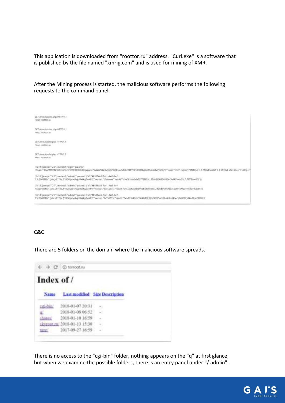This application is downloaded from "roottor.ru" address. "Curl.exe" is a software that is published by the file named "xmrig.com" and is used for mining of XMR.

After the Mining process is started, the malicious software performs the following requests to the command panel.



#### **C&C**

There are 5 folders on the domain where the malicious software spreads.

|            | <b>CG</b> torroot.nu                  |        |  |
|------------|---------------------------------------|--------|--|
| Index of / |                                       |        |  |
| Name       | <b>Last modified</b> Size Description |        |  |
|            | 2018-01-07 20:31                      |        |  |
|            | 2018-01-08 06:52                      | 9      |  |
|            | 2015-01-10 16:59                      | $\sim$ |  |
|            | ikyroot.ru/2018-01-13 15:30           | 8      |  |
|            |                                       | w      |  |

There is no access to the "cgi-bin" folder, nothing appears on the "q" at first glance, but when we examine the possible folders, there is an entry panel under "/ admin".

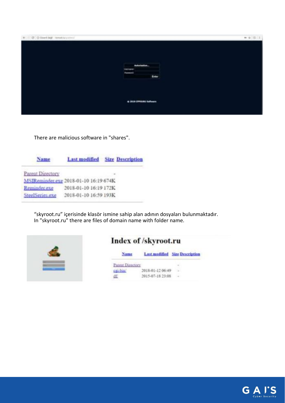| $\Phi = \Omega'$ . O lined but it to obvious that |                        |
|---------------------------------------------------|------------------------|
|                                                   |                        |
|                                                   |                        |
|                                                   |                        |
|                                                   | Autorisation.          |
| tourismen                                         |                        |
| <b>Passwort</b>                                   | Enter                  |
|                                                   |                        |
|                                                   |                        |
|                                                   |                        |
|                                                   | + 2018 OWNERS Suffrage |
|                                                   |                        |
|                                                   |                        |

There are malicious software in "shares".

| Name             |                                       | <b>Last modified</b> Size Description |
|------------------|---------------------------------------|---------------------------------------|
| Parent Directory |                                       |                                       |
|                  | MSIReminder.exe 2018-01-10 16:19 674K |                                       |
| Reminder exe     | 2018-01-10 16:19 172K                 |                                       |
| SteelSeries.exe  | 2018-01-10 16:59 193K                 |                                       |

"skyroot.ru" içerisinde klasör ismine sahip alan adının dosyaları bulunmaktadır. In "skyroot.ru" there are files of domain name with folder name.



### Index of /skyroot.ru

|                  | <b>Last modified</b> Size Description |
|------------------|---------------------------------------|
|                  |                                       |
| 2018-01-12 06:49 |                                       |
| 2015-07-18 23:08 |                                       |

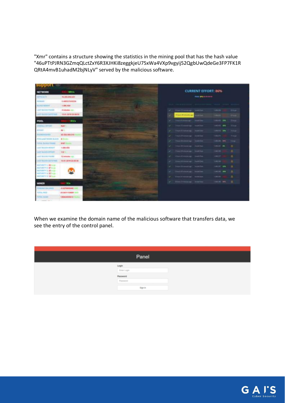"Xmr" contains a structure showing the statistics in the mining pool that has the hash value "46uPTtPJRN3GZmqQLctZxY6R3XJHKi8zeggkjeU75xWa4VXp9vgyij52QgbUwQdeGe3FP7FK1R QRtA4mvB1uhadM2bjNLyV" served by the malicious software.

| support                                              |                             |
|------------------------------------------------------|-----------------------------|
| <b>NETWORK</b>                                       | <b>MIGS</b>                 |
| <b>SPRINTE</b>                                       | THE STAR AND ALCOHOL        |
| <b>TY WANT</b>                                       | 5.480277670256              |
| SUITE MODEL                                          | 1,491,454                   |
| LEST BLDG FUITH                                      | <b>Enteredate con-</b>      |
| LAST BUILTE SATETING                                 | 15:01.2010 23:30:32         |
| <b>POOL</b>                                          | <b>ROUG</b>                 |
| <b>HERALL STROET</b>                                 | <b>Bull 1</b>               |
|                                                      | 86%                         |
| ----                                                 | AE GALABA DIA               |
| 15 and 7 work Buick                                  | <b>B France</b>             |
| <b>NAMES AND RESIDENCE</b>                           | <b>BIRT Insurers</b>        |
| LEST BLOOD IN HEIGHT                                 | 1,684,634                   |
| LAST BUSINE STRUCK?                                  | <b>THE ST</b>               |
| LAST BLOW FILMS                                      | TEMPARK NJL                 |
| LAST RUSSIN' SHIPEPAKE                               | 11.01.2014 23.26.94         |
| ASSISTED \$1.82 NEWS<br>NATURETY & 47 to ac-         |                             |
| MACTURATE 3.28 Image<br><b>SMITT &amp; 22 locals</b> |                             |
| <b>MOTORYTY &amp; SEALAIN</b>                        |                             |
| MINER                                                | <b>BUX</b>                  |
| <b>Ind Ball Jan T</b>                                | <b><i>ASENHOUSE CAR</i></b> |
| TOTAL PAID.                                          | 22 GEOVIERNE SHO            |
| TOTAL AGENT                                          | <b>EBEALERSHIP</b>          |

When we examine the domain name of the malicious software that transfers data, we see the entry of the control panel.

| Login<br>Exter Login<br>Password<br>Password |
|----------------------------------------------|
|                                              |
|                                              |